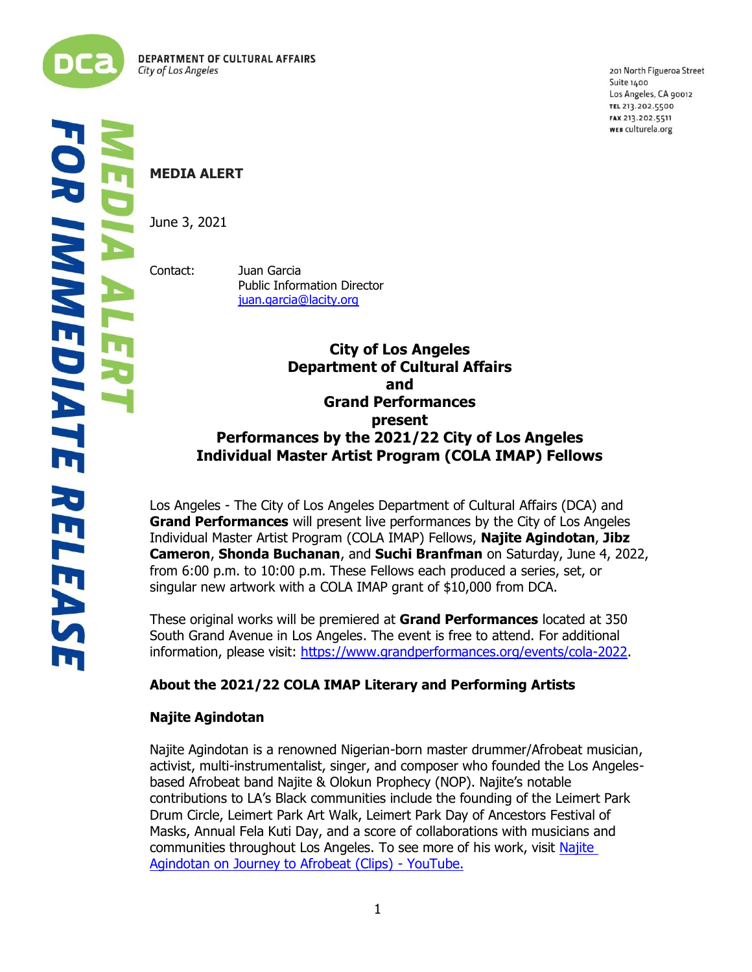

í j 201 North Figueroa Street Suite 1400 Los Angeles, CA 90012 TEL 213.202.5500 FAX 213.202.5511 WEB culturela.org

# **MEDIA ALERT**

June 3, 2021

Contact: Juan Garcia Public Information Director [juan.garcia@lacity.org](mailto:juan.garcia@lacity.org)

> **City of Los Angeles Department of Cultural Affairs and Grand Performances present Performances by the 2021/22 City of Los Angeles Individual Master Artist Program (COLA IMAP) Fellows**

Los Angeles - The City of Los Angeles Department of Cultural Affairs (DCA) and **Grand Performances** will present live performances by the City of Los Angeles Individual Master Artist Program (COLA IMAP) Fellows, **Najite Agindotan**, **Jibz Cameron**, **Shonda Buchanan**, and **Suchi Branfman** on Saturday, June 4, 2022, from 6:00 p.m. to 10:00 p.m. These Fellows each produced a series, set, or singular new artwork with a COLA IMAP grant of \$10,000 from DCA.

These original works will be premiered at **Grand Performances** located at 350 South Grand Avenue in Los Angeles. The event is free to attend. For additional information, please visit: [https://www.grandperformances.org/events/cola-2022.](https://www.grandperformances.org/events/cola-2022)

## **About the 2021/22 COLA IMAP Literary and Performing Artists**

## **Najite Agindotan**

Najite Agindotan is a renowned Nigerian-born master drummer/Afrobeat musician, activist, multi-instrumentalist, singer, and composer who founded the Los Angelesbased Afrobeat band Najite & Olokun Prophecy (NOP). Najite's notable contributions to LA's Black communities include the founding of the Leimert Park Drum Circle, Leimert Park Art Walk, Leimert Park Day of Ancestors Festival of Masks, Annual Fela Kuti Day, and a score of collaborations with musicians and communities throughout Los Angeles. To see more of his work, visit Najite [Agindotan on Journey to Afrobeat \(Clips\) -](https://www.youtube.com/watch?v=SbRyKE2BkCk&list=PLDvONNO1MiPsuS5zn8iuZZP8UrMEXXBsf) YouTube.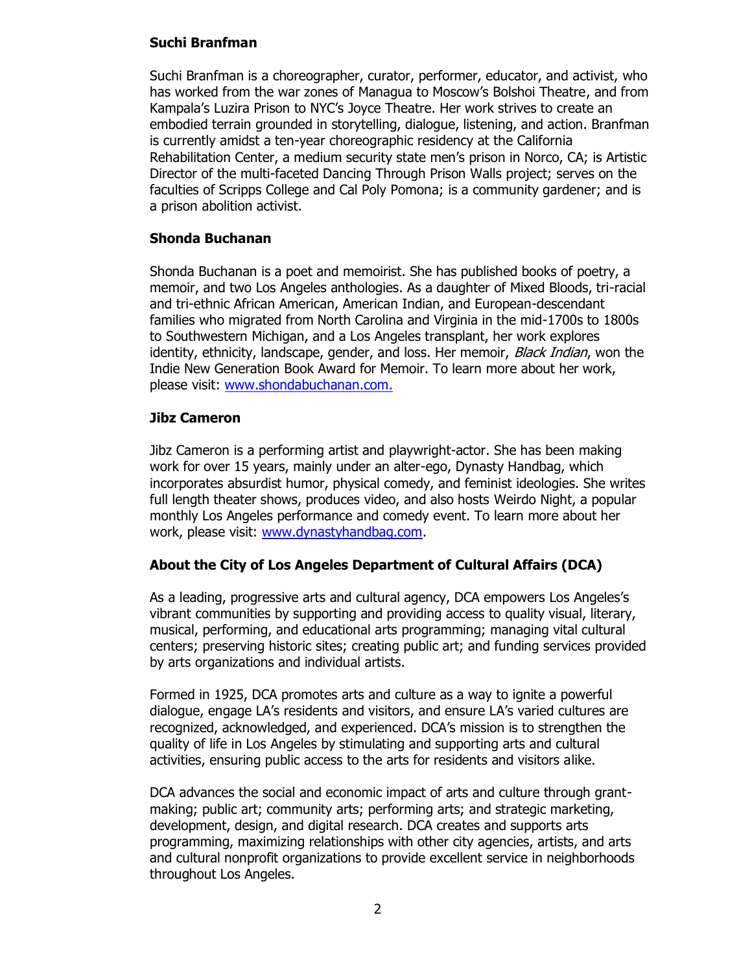### **Suchi Branfman**

Suchi Branfman is a choreographer, curator, performer, educator, and activist, who has worked from the war zones of Managua to Moscow's Bolshoi Theatre, and from Kampala's Luzira Prison to NYC's Joyce Theatre. Her work strives to create an embodied terrain grounded in storytelling, dialogue, listening, and action. Branfman is currently amidst a ten-year choreographic residency at the California Rehabilitation Center, a medium security state men's prison in Norco, CA; is Artistic Director of the multi-faceted Dancing Through Prison Walls project; serves on the faculties of Scripps College and Cal Poly Pomona; is a community gardener; and is a prison abolition activist.

### **Shonda Buchanan**

Shonda Buchanan is a poet and memoirist. She has published books of poetry, a memoir, and two Los Angeles anthologies. As a daughter of Mixed Bloods, tri-racial and tri-ethnic African American, American Indian, and European-descendant families who migrated from North Carolina and Virginia in the mid-1700s to 1800s to Southwestern Michigan, and a Los Angeles transplant, her work explores identity, ethnicity, landscape, gender, and loss. Her memoir, *Black Indian*, won the Indie New Generation Book Award for Memoir. To learn more about her work, please visit: [www.shondabuchanan.com.](http://www.shondabuchanan.com/)

### **Jibz Cameron**

Jibz Cameron is a performing artist and playwright-actor. She has been making work for over 15 years, mainly under an alter-ego, Dynasty Handbag, which incorporates absurdist humor, physical comedy, and feminist ideologies. She writes full length theater shows, produces video, and also hosts Weirdo Night, a popular monthly Los Angeles performance and comedy event. To learn more about her work, please visit: [www.dynastyhandbag.com.](http://www.dynastyhandbag.com/)

### **About the City of Los Angeles Department of Cultural Affairs (DCA)**

As a leading, progressive arts and cultural agency, DCA empowers Los Angeles's vibrant communities by supporting and providing access to quality visual, literary, musical, performing, and educational arts programming; managing vital cultural centers; preserving historic sites; creating public art; and funding services provided by arts organizations and individual artists.

Formed in 1925, DCA promotes arts and culture as a way to ignite a powerful dialogue, engage LA's residents and visitors, and ensure LA's varied cultures are recognized, acknowledged, and experienced. DCA's mission is to strengthen the quality of life in Los Angeles by stimulating and supporting arts and cultural activities, ensuring public access to the arts for residents and visitors alike.

DCA advances the social and economic impact of arts and culture through grantmaking; public art; community arts; performing arts; and strategic marketing, development, design, and digital research. DCA creates and supports arts programming, maximizing relationships with other city agencies, artists, and arts and cultural nonprofit organizations to provide excellent service in neighborhoods throughout Los Angeles.